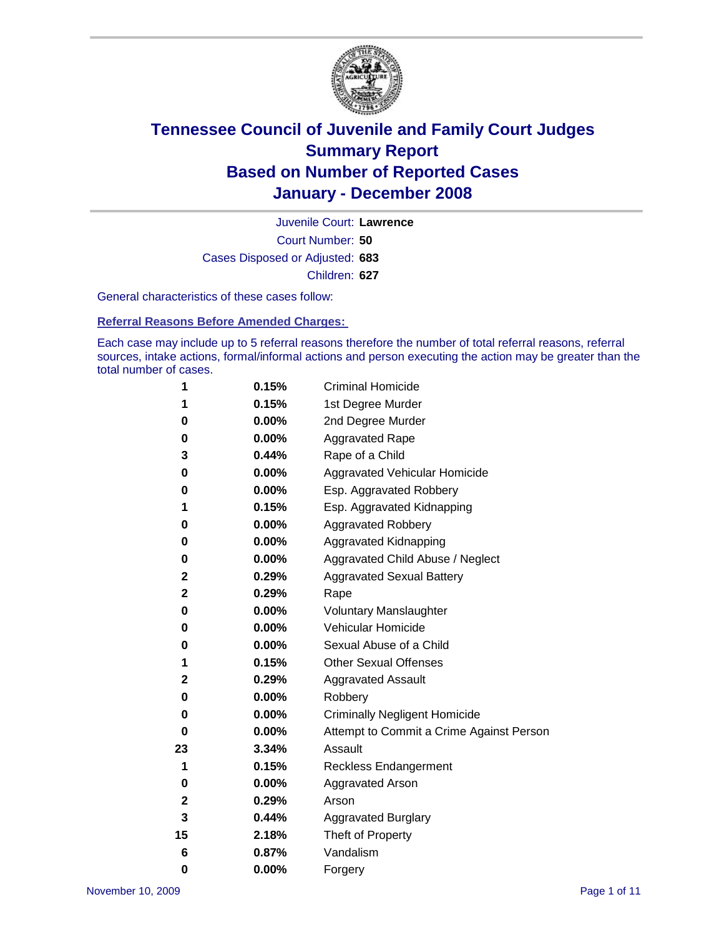

Court Number: **50** Juvenile Court: **Lawrence** Cases Disposed or Adjusted: **683** Children: **627**

General characteristics of these cases follow:

**Referral Reasons Before Amended Charges:** 

Each case may include up to 5 referral reasons therefore the number of total referral reasons, referral sources, intake actions, formal/informal actions and person executing the action may be greater than the total number of cases.

| 1  | 0.15%    | <b>Criminal Homicide</b>                 |
|----|----------|------------------------------------------|
| 1  | 0.15%    | 1st Degree Murder                        |
| 0  | 0.00%    | 2nd Degree Murder                        |
| 0  | $0.00\%$ | <b>Aggravated Rape</b>                   |
| 3  | 0.44%    | Rape of a Child                          |
| 0  | 0.00%    | Aggravated Vehicular Homicide            |
| 0  | 0.00%    | Esp. Aggravated Robbery                  |
| 1  | 0.15%    | Esp. Aggravated Kidnapping               |
| 0  | $0.00\%$ | <b>Aggravated Robbery</b>                |
| 0  | 0.00%    | Aggravated Kidnapping                    |
| 0  | 0.00%    | Aggravated Child Abuse / Neglect         |
| 2  | 0.29%    | <b>Aggravated Sexual Battery</b>         |
| 2  | 0.29%    | Rape                                     |
| 0  | $0.00\%$ | <b>Voluntary Manslaughter</b>            |
| 0  | 0.00%    | Vehicular Homicide                       |
| 0  | 0.00%    | Sexual Abuse of a Child                  |
| 1  | 0.15%    | <b>Other Sexual Offenses</b>             |
| 2  | 0.29%    | <b>Aggravated Assault</b>                |
| 0  | 0.00%    | Robbery                                  |
| 0  | 0.00%    | <b>Criminally Negligent Homicide</b>     |
| 0  | 0.00%    | Attempt to Commit a Crime Against Person |
| 23 | 3.34%    | Assault                                  |
| 1  | 0.15%    | <b>Reckless Endangerment</b>             |
| 0  | 0.00%    | <b>Aggravated Arson</b>                  |
| 2  | 0.29%    | Arson                                    |
| 3  | 0.44%    | <b>Aggravated Burglary</b>               |
| 15 | 2.18%    | Theft of Property                        |
| 6  | 0.87%    | Vandalism                                |
| 0  | 0.00%    | Forgery                                  |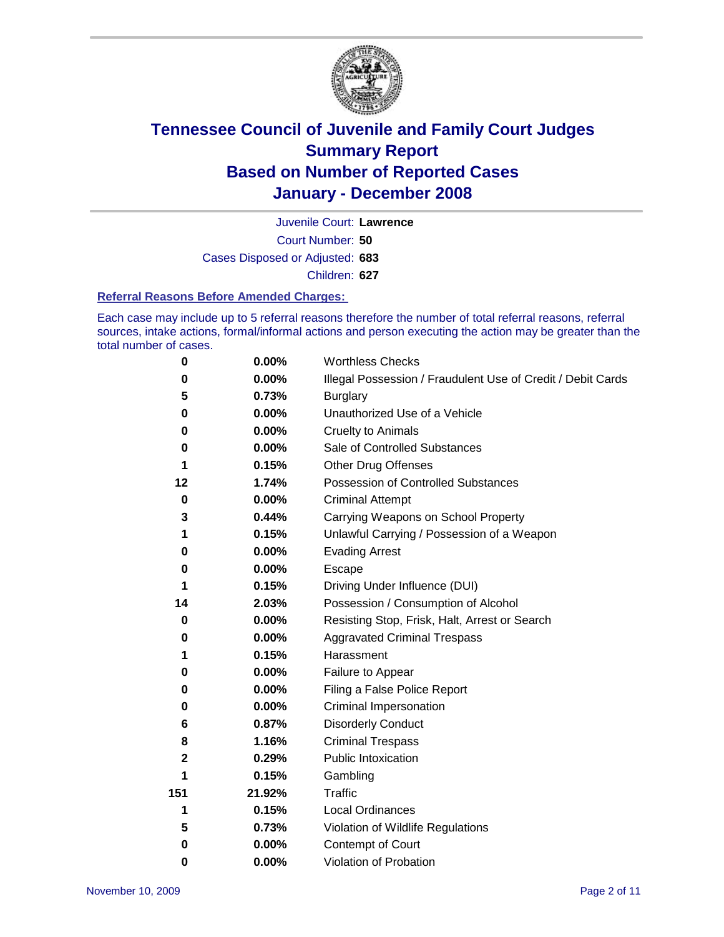

Court Number: **50** Juvenile Court: **Lawrence** Cases Disposed or Adjusted: **683** Children: **627**

#### **Referral Reasons Before Amended Charges:**

Each case may include up to 5 referral reasons therefore the number of total referral reasons, referral sources, intake actions, formal/informal actions and person executing the action may be greater than the total number of cases.

| 0           | 0.00%    | <b>Worthless Checks</b>                                     |
|-------------|----------|-------------------------------------------------------------|
| 0           | 0.00%    | Illegal Possession / Fraudulent Use of Credit / Debit Cards |
| 5           | 0.73%    | <b>Burglary</b>                                             |
| 0           | 0.00%    | Unauthorized Use of a Vehicle                               |
| $\bf{0}$    | 0.00%    | <b>Cruelty to Animals</b>                                   |
| 0           | 0.00%    | Sale of Controlled Substances                               |
| 1           | 0.15%    | <b>Other Drug Offenses</b>                                  |
| 12          | 1.74%    | <b>Possession of Controlled Substances</b>                  |
| 0           | $0.00\%$ | <b>Criminal Attempt</b>                                     |
| 3           | 0.44%    | Carrying Weapons on School Property                         |
| 1           | 0.15%    | Unlawful Carrying / Possession of a Weapon                  |
| 0           | 0.00%    | <b>Evading Arrest</b>                                       |
| 0           | 0.00%    | Escape                                                      |
| 1           | 0.15%    | Driving Under Influence (DUI)                               |
| 14          | 2.03%    | Possession / Consumption of Alcohol                         |
| 0           | 0.00%    | Resisting Stop, Frisk, Halt, Arrest or Search               |
| 0           | 0.00%    | <b>Aggravated Criminal Trespass</b>                         |
| 1           | 0.15%    | Harassment                                                  |
| 0           | 0.00%    | Failure to Appear                                           |
| 0           | 0.00%    | Filing a False Police Report                                |
| 0           | 0.00%    | Criminal Impersonation                                      |
| 6           | 0.87%    | <b>Disorderly Conduct</b>                                   |
| 8           | 1.16%    | <b>Criminal Trespass</b>                                    |
| $\mathbf 2$ | 0.29%    | <b>Public Intoxication</b>                                  |
|             | 0.15%    | Gambling                                                    |
| 151         | 21.92%   | Traffic                                                     |
| 1           | 0.15%    | <b>Local Ordinances</b>                                     |
| 5           | 0.73%    | Violation of Wildlife Regulations                           |
| 0           | 0.00%    | Contempt of Court                                           |
| 0           | 0.00%    | Violation of Probation                                      |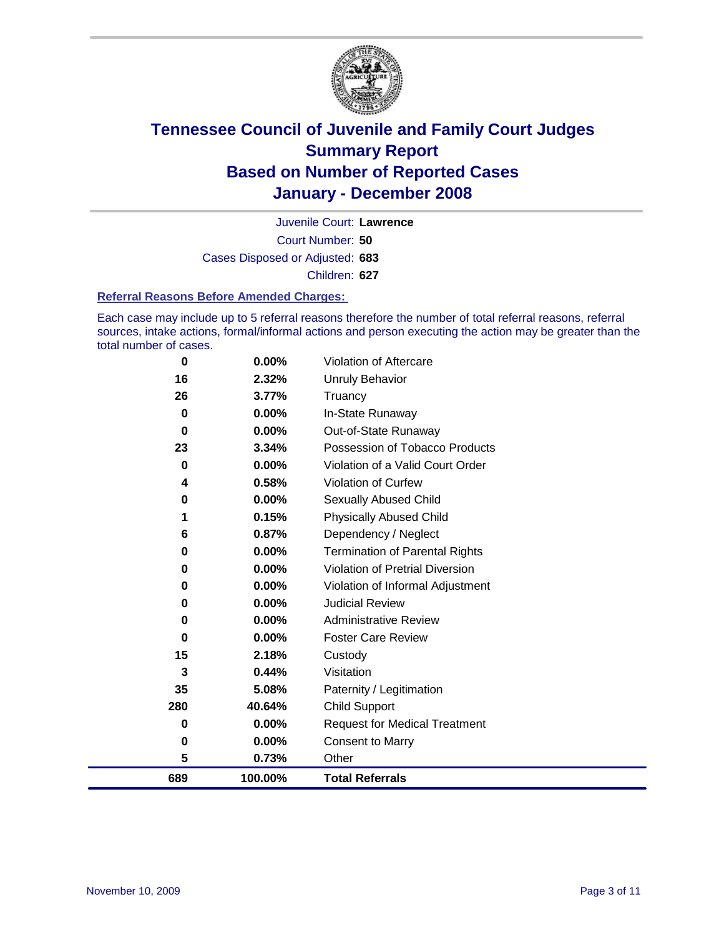

Court Number: **50** Juvenile Court: **Lawrence** Cases Disposed or Adjusted: **683** Children: **627**

#### **Referral Reasons Before Amended Charges:**

Each case may include up to 5 referral reasons therefore the number of total referral reasons, referral sources, intake actions, formal/informal actions and person executing the action may be greater than the total number of cases.

| 689 | 100.00%  | <b>Total Referrals</b>                 |
|-----|----------|----------------------------------------|
| 5   | 0.73%    | Other                                  |
| 0   | 0.00%    | <b>Consent to Marry</b>                |
| 0   | $0.00\%$ | <b>Request for Medical Treatment</b>   |
| 280 | 40.64%   | <b>Child Support</b>                   |
| 35  | 5.08%    | Paternity / Legitimation               |
| 3   | 0.44%    | Visitation                             |
| 15  | 2.18%    | Custody                                |
| 0   | 0.00%    | <b>Foster Care Review</b>              |
| 0   | $0.00\%$ | <b>Administrative Review</b>           |
| 0   | 0.00%    | <b>Judicial Review</b>                 |
| 0   | $0.00\%$ | Violation of Informal Adjustment       |
| 0   | $0.00\%$ | <b>Violation of Pretrial Diversion</b> |
| 0   | 0.00%    | <b>Termination of Parental Rights</b>  |
| 6   | 0.87%    | Dependency / Neglect                   |
| 1   | 0.15%    | <b>Physically Abused Child</b>         |
| 0   | 0.00%    | <b>Sexually Abused Child</b>           |
| 4   | 0.58%    | Violation of Curfew                    |
| 0   | 0.00%    | Violation of a Valid Court Order       |
| 23  | 3.34%    | Possession of Tobacco Products         |
| 0   | $0.00\%$ | Out-of-State Runaway                   |
| 0   | 0.00%    | In-State Runaway                       |
| 26  | 3.77%    | Truancy                                |
| 16  | 2.32%    | <b>Unruly Behavior</b>                 |
| 0   | 0.00%    | Violation of Aftercare                 |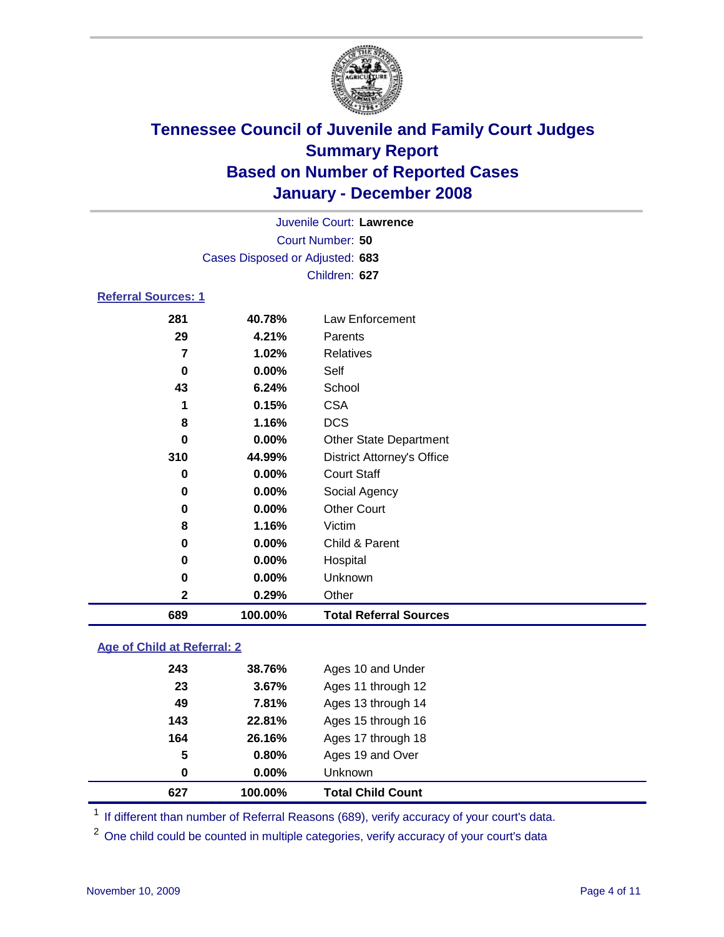

Court Number: **50** Juvenile Court: **Lawrence** Cases Disposed or Adjusted: **683** Children: **627**

### **Referral Sources: 1**

| 281          | 40.78%   | Law Enforcement                   |
|--------------|----------|-----------------------------------|
| 29           | 4.21%    | Parents                           |
| 7            | 1.02%    | <b>Relatives</b>                  |
| 0            | 0.00%    | Self                              |
| 43           | 6.24%    | School                            |
| 1            | 0.15%    | <b>CSA</b>                        |
| 8            | 1.16%    | <b>DCS</b>                        |
| 0            | $0.00\%$ | <b>Other State Department</b>     |
| 310          | 44.99%   | <b>District Attorney's Office</b> |
| 0            | 0.00%    | <b>Court Staff</b>                |
| 0            | 0.00%    | Social Agency                     |
| 0            | 0.00%    | <b>Other Court</b>                |
| 8            | 1.16%    | Victim                            |
| 0            | 0.00%    | Child & Parent                    |
| 0            | 0.00%    | Hospital                          |
| 0            | 0.00%    | Unknown                           |
| $\mathbf{2}$ | 0.29%    | Other                             |
| 689          | 100.00%  | <b>Total Referral Sources</b>     |

### **Age of Child at Referral: 2**

| 627 | 100.00%  | <b>Total Child Count</b> |
|-----|----------|--------------------------|
| 0   | $0.00\%$ | <b>Unknown</b>           |
| 5   | 0.80%    | Ages 19 and Over         |
| 164 | 26.16%   | Ages 17 through 18       |
| 143 | 22.81%   | Ages 15 through 16       |
| 49  | 7.81%    | Ages 13 through 14       |
| 23  | 3.67%    | Ages 11 through 12       |
| 243 | 38.76%   | Ages 10 and Under        |
|     |          |                          |

<sup>1</sup> If different than number of Referral Reasons (689), verify accuracy of your court's data.

<sup>2</sup> One child could be counted in multiple categories, verify accuracy of your court's data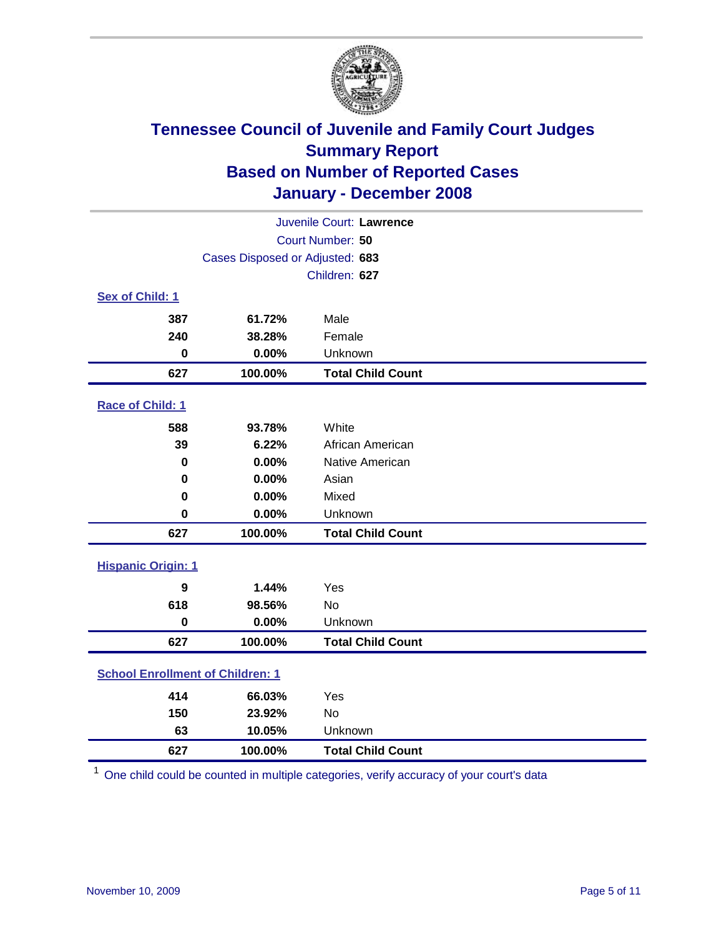

| Juvenile Court: Lawrence                |                                 |                          |  |  |
|-----------------------------------------|---------------------------------|--------------------------|--|--|
| Court Number: 50                        |                                 |                          |  |  |
|                                         | Cases Disposed or Adjusted: 683 |                          |  |  |
|                                         |                                 | Children: 627            |  |  |
| Sex of Child: 1                         |                                 |                          |  |  |
| 387                                     | 61.72%                          | Male                     |  |  |
| 240                                     | 38.28%                          | Female                   |  |  |
| $\bf{0}$                                | 0.00%                           | Unknown                  |  |  |
| 627                                     | 100.00%                         | <b>Total Child Count</b> |  |  |
| Race of Child: 1                        |                                 |                          |  |  |
| 588                                     | 93.78%                          | White                    |  |  |
| 39                                      | 6.22%                           | African American         |  |  |
| 0                                       | 0.00%                           | Native American          |  |  |
| 0                                       | 0.00%                           | Asian                    |  |  |
| 0                                       | 0.00%                           | Mixed                    |  |  |
| $\mathbf 0$                             | 0.00%                           | Unknown                  |  |  |
| 627                                     | 100.00%                         | <b>Total Child Count</b> |  |  |
| <b>Hispanic Origin: 1</b>               |                                 |                          |  |  |
| 9                                       | 1.44%                           | Yes                      |  |  |
| 618                                     | 98.56%                          | <b>No</b>                |  |  |
| $\mathbf 0$                             | 0.00%                           | Unknown                  |  |  |
| 627                                     | 100.00%                         | <b>Total Child Count</b> |  |  |
| <b>School Enrollment of Children: 1</b> |                                 |                          |  |  |
| 414                                     | 66.03%                          | Yes                      |  |  |
| 150                                     | 23.92%                          | No                       |  |  |
| 63                                      | 10.05%                          | Unknown                  |  |  |
| 627                                     | 100.00%                         | <b>Total Child Count</b> |  |  |

One child could be counted in multiple categories, verify accuracy of your court's data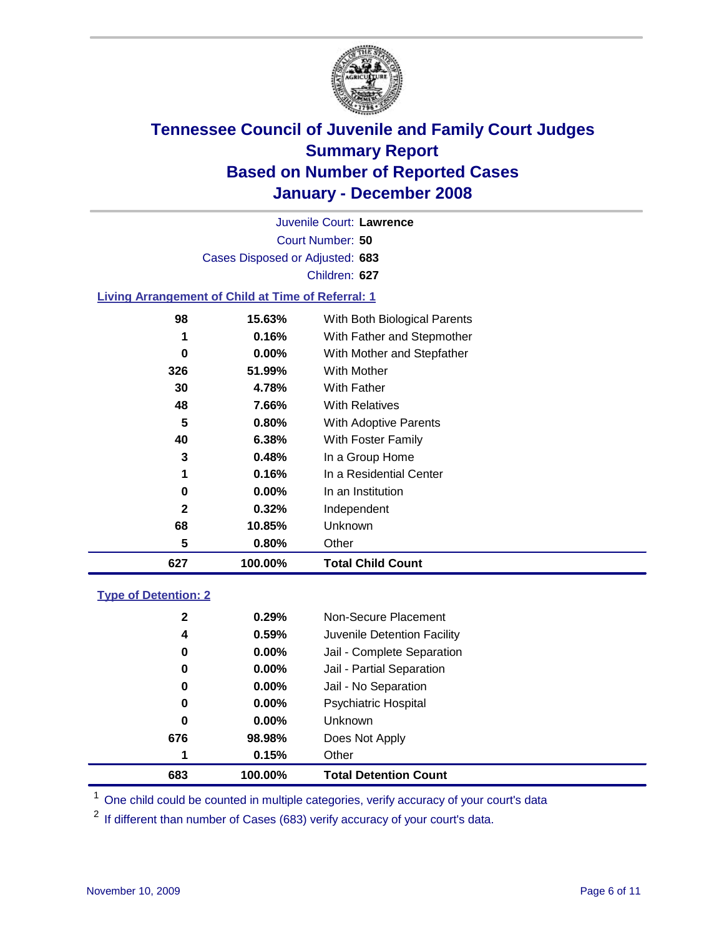

Court Number: **50** Juvenile Court: **Lawrence** Cases Disposed or Adjusted: **683** Children: **627**

#### **Living Arrangement of Child at Time of Referral: 1**

| 627 | 100.00%  | <b>Total Child Count</b>     |
|-----|----------|------------------------------|
| 5   | 0.80%    | Other                        |
| 68  | 10.85%   | Unknown                      |
| 2   | $0.32\%$ | Independent                  |
| 0   | $0.00\%$ | In an Institution            |
| 1   | 0.16%    | In a Residential Center      |
| 3   | 0.48%    | In a Group Home              |
| 40  | 6.38%    | With Foster Family           |
| 5   | 0.80%    | With Adoptive Parents        |
| 48  | 7.66%    | <b>With Relatives</b>        |
| 30  | 4.78%    | With Father                  |
| 326 | 51.99%   | With Mother                  |
| 0   | $0.00\%$ | With Mother and Stepfather   |
| 1   | 0.16%    | With Father and Stepmother   |
| 98  | 15.63%   | With Both Biological Parents |
|     |          |                              |

#### **Type of Detention: 2**

| 683 |              | 100.00%  | <b>Total Detention Count</b> |
|-----|--------------|----------|------------------------------|
|     | 1            | 0.15%    | Other                        |
| 676 |              | 98.98%   | Does Not Apply               |
|     | 0            | $0.00\%$ | <b>Unknown</b>               |
|     | 0            | $0.00\%$ | <b>Psychiatric Hospital</b>  |
|     | 0            | $0.00\%$ | Jail - No Separation         |
|     | 0            | $0.00\%$ | Jail - Partial Separation    |
|     | 0            | $0.00\%$ | Jail - Complete Separation   |
|     | 4            | 0.59%    | Juvenile Detention Facility  |
|     | $\mathbf{2}$ | 0.29%    | Non-Secure Placement         |
|     |              |          |                              |

<sup>1</sup> One child could be counted in multiple categories, verify accuracy of your court's data

<sup>2</sup> If different than number of Cases (683) verify accuracy of your court's data.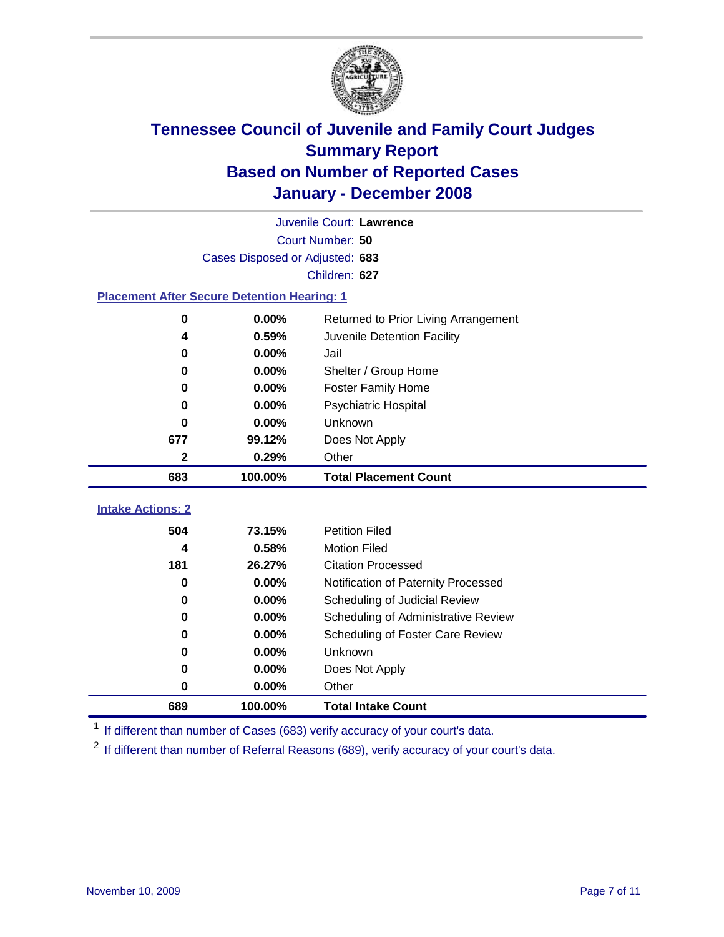

|                                                    | Juvenile Court: Lawrence        |                                      |  |  |  |
|----------------------------------------------------|---------------------------------|--------------------------------------|--|--|--|
|                                                    | Court Number: 50                |                                      |  |  |  |
|                                                    | Cases Disposed or Adjusted: 683 |                                      |  |  |  |
|                                                    |                                 | Children: 627                        |  |  |  |
| <b>Placement After Secure Detention Hearing: 1</b> |                                 |                                      |  |  |  |
| 0                                                  | 0.00%                           | Returned to Prior Living Arrangement |  |  |  |
| 4                                                  | 0.59%                           | Juvenile Detention Facility          |  |  |  |
| 0                                                  | 0.00%                           | Jail                                 |  |  |  |
| 0                                                  | 0.00%                           | Shelter / Group Home                 |  |  |  |
| 0                                                  | 0.00%                           | <b>Foster Family Home</b>            |  |  |  |
| 0                                                  | 0.00%                           | Psychiatric Hospital                 |  |  |  |
| 0                                                  | 0.00%                           | Unknown                              |  |  |  |
| 677                                                | 99.12%                          | Does Not Apply                       |  |  |  |
| $\mathbf{2}$                                       | 0.29%                           | Other                                |  |  |  |
| 683                                                | 100.00%                         | <b>Total Placement Count</b>         |  |  |  |
|                                                    |                                 |                                      |  |  |  |
| <b>Intake Actions: 2</b>                           |                                 |                                      |  |  |  |
| 504                                                | 73.15%                          | <b>Petition Filed</b>                |  |  |  |
| 4                                                  | 0.58%                           | <b>Motion Filed</b>                  |  |  |  |
| 181                                                | 26.27%                          | <b>Citation Processed</b>            |  |  |  |
| 0                                                  | 0.00%                           | Notification of Paternity Processed  |  |  |  |
| 0                                                  | 0.00%                           | Scheduling of Judicial Review        |  |  |  |
| 0                                                  | 0.00%                           | Scheduling of Administrative Review  |  |  |  |
| 0                                                  | 0.00%                           | Scheduling of Foster Care Review     |  |  |  |
| 0                                                  | 0.00%                           | Unknown                              |  |  |  |
| 0                                                  | 0.00%                           | Does Not Apply                       |  |  |  |
| 0                                                  | 0.00%                           | Other                                |  |  |  |
| 689                                                | 100.00%                         | <b>Total Intake Count</b>            |  |  |  |

<sup>1</sup> If different than number of Cases (683) verify accuracy of your court's data.

<sup>2</sup> If different than number of Referral Reasons (689), verify accuracy of your court's data.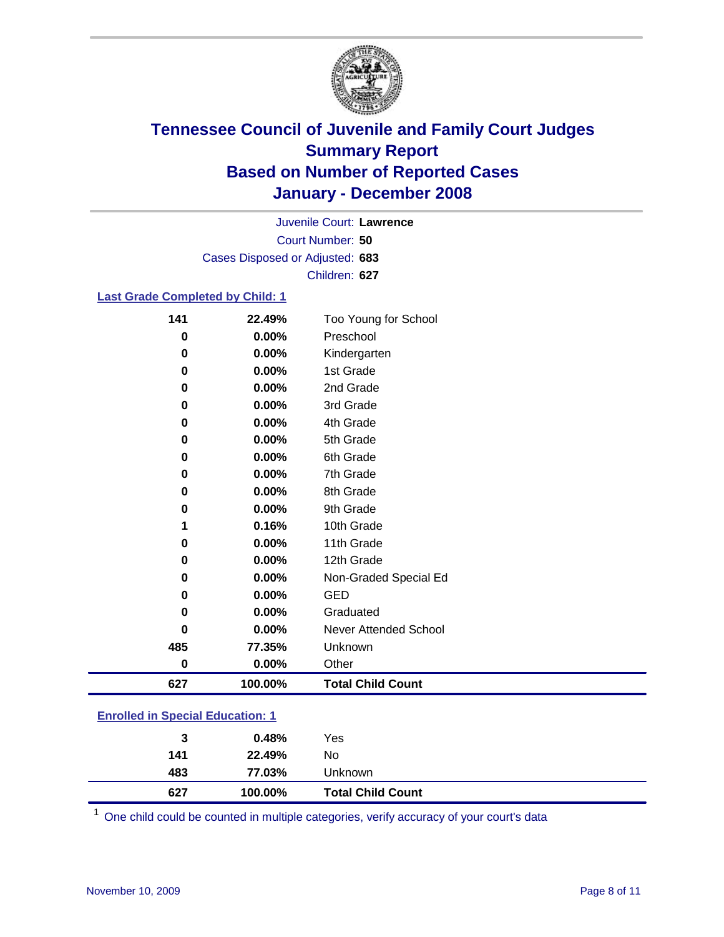

Court Number: **50** Juvenile Court: **Lawrence** Cases Disposed or Adjusted: **683** Children: **627**

### **Last Grade Completed by Child: 1**

| 141      | 22.49%  | Too Young for School     |
|----------|---------|--------------------------|
| $\bf{0}$ | 0.00%   | Preschool                |
| $\bf{0}$ | 0.00%   | Kindergarten             |
| 0        | 0.00%   | 1st Grade                |
| 0        | 0.00%   | 2nd Grade                |
| 0        | 0.00%   | 3rd Grade                |
| 0        | 0.00%   | 4th Grade                |
| 0        | 0.00%   | 5th Grade                |
| 0        | 0.00%   | 6th Grade                |
| 0        | 0.00%   | 7th Grade                |
| 0        | 0.00%   | 8th Grade                |
| 0        | 0.00%   | 9th Grade                |
| 1        | 0.16%   | 10th Grade               |
| 0        | 0.00%   | 11th Grade               |
| 0        | 0.00%   | 12th Grade               |
| 0        | 0.00%   | Non-Graded Special Ed    |
| 0        | 0.00%   | <b>GED</b>               |
| 0        | 0.00%   | Graduated                |
| 0        | 0.00%   | Never Attended School    |
| 485      | 77.35%  | Unknown                  |
| 0        | 0.00%   | Other                    |
| 627      | 100.00% | <b>Total Child Count</b> |

### **Enrolled in Special Education: 1**

| 3   | 0.48%   | Yes                      |
|-----|---------|--------------------------|
| 141 | 22.49%  | No                       |
| 483 | 77.03%  | <b>Unknown</b>           |
| 627 | 100.00% | <b>Total Child Count</b> |

One child could be counted in multiple categories, verify accuracy of your court's data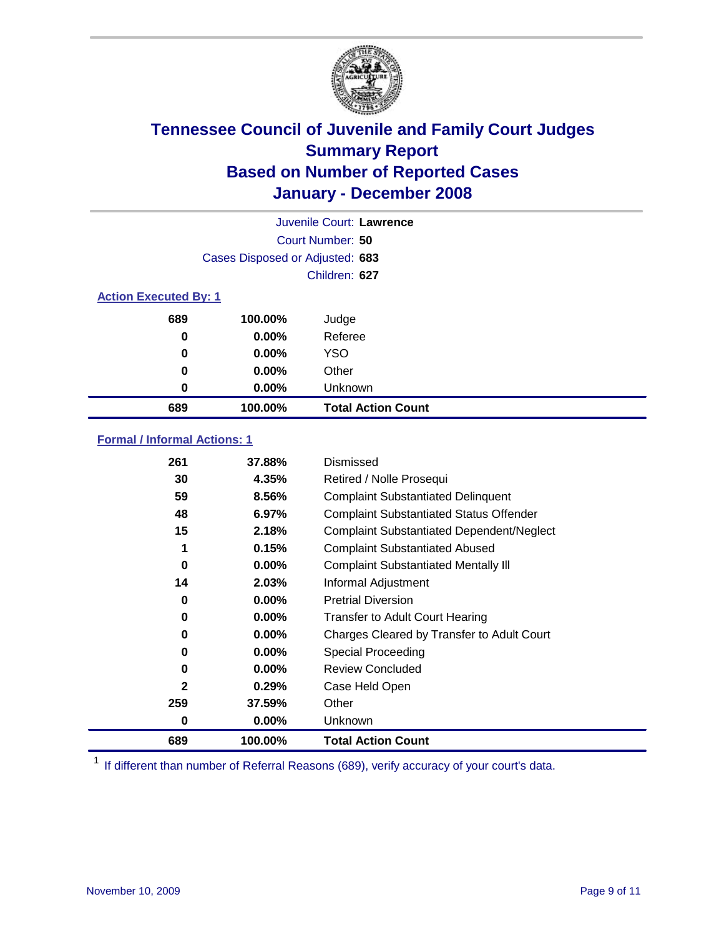

| Juvenile Court: Lawrence     |                                 |                           |  |  |  |
|------------------------------|---------------------------------|---------------------------|--|--|--|
|                              | Court Number: 50                |                           |  |  |  |
|                              | Cases Disposed or Adjusted: 683 |                           |  |  |  |
|                              |                                 | Children: 627             |  |  |  |
| <b>Action Executed By: 1</b> |                                 |                           |  |  |  |
| 689                          | 100.00%                         | Judge                     |  |  |  |
| 0                            | $0.00\%$                        | Referee                   |  |  |  |
| 0                            | $0.00\%$                        | <b>YSO</b>                |  |  |  |
| 0                            | $0.00\%$                        | Other                     |  |  |  |
| 0                            | $0.00\%$                        | Unknown                   |  |  |  |
| 689                          | 100.00%                         | <b>Total Action Count</b> |  |  |  |

### **Formal / Informal Actions: 1**

| 261          | 37.88%   | Dismissed                                        |
|--------------|----------|--------------------------------------------------|
| 30           | 4.35%    | Retired / Nolle Prosequi                         |
| 59           | 8.56%    | <b>Complaint Substantiated Delinquent</b>        |
| 48           | 6.97%    | <b>Complaint Substantiated Status Offender</b>   |
| 15           | 2.18%    | <b>Complaint Substantiated Dependent/Neglect</b> |
| 1            | 0.15%    | <b>Complaint Substantiated Abused</b>            |
| 0            | $0.00\%$ | <b>Complaint Substantiated Mentally III</b>      |
| 14           | 2.03%    | Informal Adjustment                              |
| 0            | 0.00%    | <b>Pretrial Diversion</b>                        |
| 0            | 0.00%    | <b>Transfer to Adult Court Hearing</b>           |
| 0            | $0.00\%$ | Charges Cleared by Transfer to Adult Court       |
| 0            | $0.00\%$ | Special Proceeding                               |
| 0            | $0.00\%$ | <b>Review Concluded</b>                          |
| $\mathbf{2}$ | 0.29%    | Case Held Open                                   |
| 259          | 37.59%   | Other                                            |
| 0            | $0.00\%$ | Unknown                                          |
| 689          | 100.00%  | <b>Total Action Count</b>                        |

<sup>1</sup> If different than number of Referral Reasons (689), verify accuracy of your court's data.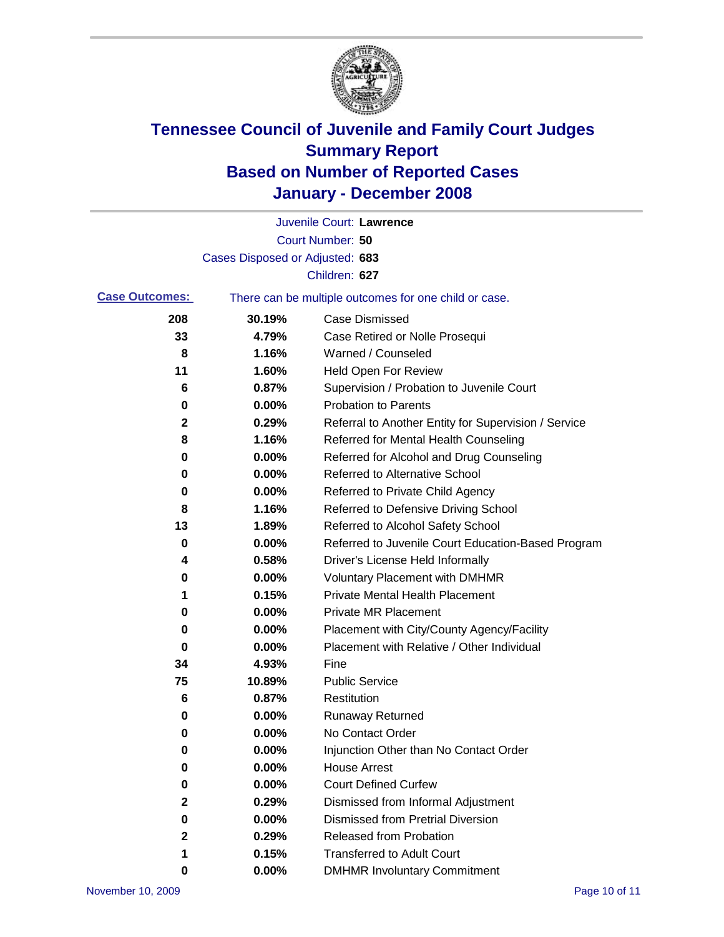

|                       |                                                       | Juvenile Court: Lawrence                             |
|-----------------------|-------------------------------------------------------|------------------------------------------------------|
|                       |                                                       | Court Number: 50                                     |
|                       | Cases Disposed or Adjusted: 683                       |                                                      |
|                       |                                                       | Children: 627                                        |
| <b>Case Outcomes:</b> | There can be multiple outcomes for one child or case. |                                                      |
| 208                   | 30.19%                                                | <b>Case Dismissed</b>                                |
| 33                    | 4.79%                                                 | Case Retired or Nolle Prosequi                       |
| 8                     | 1.16%                                                 | Warned / Counseled                                   |
| 11                    | 1.60%                                                 | Held Open For Review                                 |
| 6                     | 0.87%                                                 | Supervision / Probation to Juvenile Court            |
| 0                     | 0.00%                                                 | <b>Probation to Parents</b>                          |
| 2                     | 0.29%                                                 | Referral to Another Entity for Supervision / Service |
| 8                     | 1.16%                                                 | Referred for Mental Health Counseling                |
| 0                     | 0.00%                                                 | Referred for Alcohol and Drug Counseling             |
| 0                     | 0.00%                                                 | <b>Referred to Alternative School</b>                |
| 0                     | 0.00%                                                 | Referred to Private Child Agency                     |
| 8                     | 1.16%                                                 | Referred to Defensive Driving School                 |
| 13                    | 1.89%                                                 | Referred to Alcohol Safety School                    |
| 0                     | 0.00%                                                 | Referred to Juvenile Court Education-Based Program   |
| 4                     | 0.58%                                                 | Driver's License Held Informally                     |
| 0                     | 0.00%                                                 | <b>Voluntary Placement with DMHMR</b>                |
| 1                     | 0.15%                                                 | <b>Private Mental Health Placement</b>               |
| 0                     | 0.00%                                                 | <b>Private MR Placement</b>                          |
| 0                     | 0.00%                                                 | Placement with City/County Agency/Facility           |
| 0                     | 0.00%                                                 | Placement with Relative / Other Individual           |
| 34                    | 4.93%                                                 | Fine                                                 |
| 75                    | 10.89%                                                | <b>Public Service</b>                                |
| 6                     | 0.87%                                                 | Restitution                                          |
| 0                     | 0.00%                                                 | <b>Runaway Returned</b>                              |
| 0                     | 0.00%                                                 | No Contact Order                                     |
| $\bf{0}$              | $0.00\%$                                              | Injunction Other than No Contact Order               |
| 0                     | 0.00%                                                 | <b>House Arrest</b>                                  |
| 0                     | 0.00%                                                 | <b>Court Defined Curfew</b>                          |
| 2                     | 0.29%                                                 | Dismissed from Informal Adjustment                   |
| 0                     | 0.00%                                                 | <b>Dismissed from Pretrial Diversion</b>             |
| $\mathbf{2}$          | 0.29%                                                 | <b>Released from Probation</b>                       |
| 1                     | 0.15%                                                 | <b>Transferred to Adult Court</b>                    |
| 0                     | 0.00%                                                 | <b>DMHMR Involuntary Commitment</b>                  |